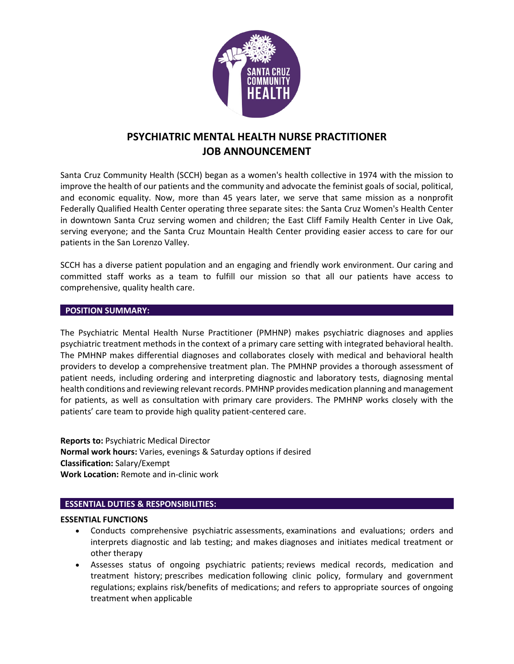

# **PSYCHIATRIC MENTAL HEALTH NURSE PRACTITIONER JOB ANNOUNCEMENT**

Santa Cruz Community Health (SCCH) began as a women's health collective in 1974 with the mission to improve the health of our patients and the community and advocate the feminist goals of social, political, and economic equality. Now, more than 45 years later, we serve that same mission as a nonprofit Federally Qualified Health Center operating three separate sites: the Santa Cruz Women's Health Center in downtown Santa Cruz serving women and children; the East Cliff Family Health Center in Live Oak, serving everyone; and the Santa Cruz Mountain Health Center providing easier access to care for our patients in the San Lorenzo Valley.

SCCH has a diverse patient population and an engaging and friendly work environment. Our caring and committed staff works as a team to fulfill our mission so that all our patients have access to comprehensive, quality health care.

## **POSITION SUMMARY:**

The Psychiatric Mental Health Nurse Practitioner (PMHNP) makes psychiatric diagnoses and applies psychiatric treatment methods in the context of a primary care setting with integrated behavioral health. The PMHNP makes differential diagnoses and collaborates closely with medical and behavioral health providers to develop a comprehensive treatment plan. The PMHNP provides a thorough assessment of patient needs, including ordering and interpreting diagnostic and laboratory tests, diagnosing mental health conditions and reviewing relevant records. PMHNP provides medication planning and management for patients, as well as consultation with primary care providers. The PMHNP works closely with the patients' care team to provide high quality patient-centered care.

**Reports to:** Psychiatric Medical Director **Normal work hours:** Varies, evenings & Saturday options if desired **Classification:** Salary/Exempt **Work Location:** Remote and in-clinic work

# **ESSENTIAL DUTIES & RESPONSIBILITIES:**

## **ESSENTIAL FUNCTIONS**

- Conducts comprehensive psychiatric assessments, examinations and evaluations; orders and interprets diagnostic and lab testing; and makes diagnoses and initiates medical treatment or other therapy
- Assesses status of ongoing psychiatric patients; reviews medical records, medication and treatment history; prescribes medication following clinic policy, formulary and government regulations; explains risk/benefits of medications; and refers to appropriate sources of ongoing treatment when applicable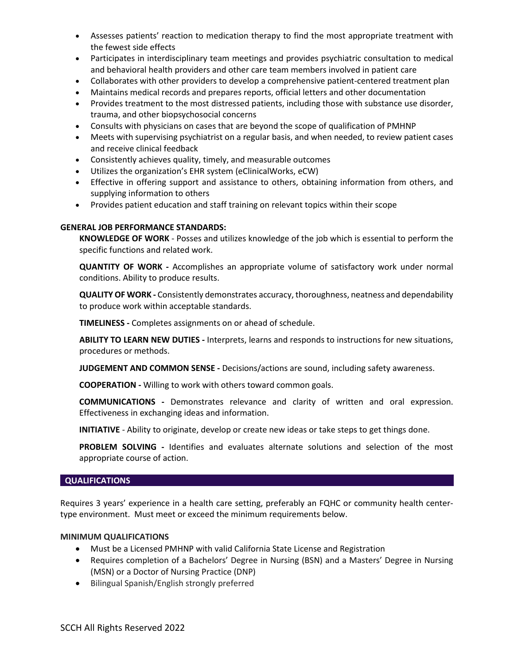- Assesses patients' reaction to medication therapy to find the most appropriate treatment with the fewest side effects
- Participates in interdisciplinary team meetings and provides psychiatric consultation to medical and behavioral health providers and other care team members involved in patient care
- Collaborates with other providers to develop a comprehensive patient-centered treatment plan
- Maintains medical records and prepares reports, official letters and other documentation
- Provides treatment to the most distressed patients, including those with substance use disorder, trauma, and other biopsychosocial concerns
- Consults with physicians on cases that are beyond the scope of qualification of PMHNP
- Meets with supervising psychiatrist on a regular basis, and when needed, to review patient cases and receive clinical feedback
- Consistently achieves quality, timely, and measurable outcomes
- Utilizes the organization's EHR system (eClinicalWorks, eCW)
- Effective in offering support and assistance to others, obtaining information from others, and supplying information to others
- Provides patient education and staff training on relevant topics within their scope

## **GENERAL JOB PERFORMANCE STANDARDS:**

**KNOWLEDGE OF WORK** - Posses and utilizes knowledge of the job which is essential to perform the specific functions and related work.

**QUANTITY OF WORK -** Accomplishes an appropriate volume of satisfactory work under normal conditions. Ability to produce results.

**QUALITY OF WORK -** Consistently demonstrates accuracy, thoroughness, neatness and dependability to produce work within acceptable standards.

**TIMELINESS -** Completes assignments on or ahead of schedule.

**ABILITY TO LEARN NEW DUTIES -** Interprets, learns and responds to instructions for new situations, procedures or methods.

**JUDGEMENT AND COMMON SENSE -** Decisions/actions are sound, including safety awareness.

**COOPERATION -** Willing to work with others toward common goals.

**COMMUNICATIONS -** Demonstrates relevance and clarity of written and oral expression. Effectiveness in exchanging ideas and information.

**INITIATIVE** *-* Ability to originate, develop or create new ideas or take steps to get things done.

**PROBLEM SOLVING -** Identifies and evaluates alternate solutions and selection of the most appropriate course of action.

## **QUALIFICATIONS**

Requires 3 years' experience in a health care setting, preferably an FQHC or community health centertype environment. Must meet or exceed the minimum requirements below.

## **MINIMUM QUALIFICATIONS**

- Must be a Licensed PMHNP with valid California State License and Registration
- Requires completion of a Bachelors' Degree in Nursing (BSN) and a Masters' Degree in Nursing (MSN) or a Doctor of Nursing Practice (DNP)
- Bilingual Spanish/English strongly preferred